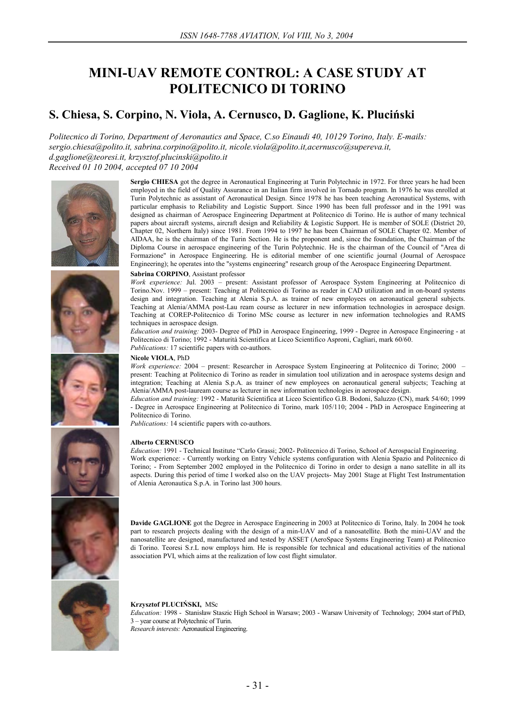# **MINI-UAV REMOTE CONTROL: A CASE STUDY AT POLITECNICO DI TORINO**

# **S. Chiesa, S. Corpino, N. Viola, A. Cernusco, D. Gaglione, K. Pluciński**

*Politecnico di Torino, Department of Aeronautics and Space, C.so Einaudi 40, 10129 Torino, Italy. E-mails: sergio.chiesa@polito.it, sabrina.corpino@polito.it, nicole.viola@polito.it,acernusco@supereva.it, d.gaglione@teoresi.it, krzysztof.plucinski@polito.it Received 01 10 2004, accepted 07 10 2004* 









**Sergio CHIESA** got the degree in Aeronautical Engineering at Turin Polytechnic in 1972. For three years he had been employed in the field of Quality Assurance in an Italian firm involved in Tornado program. In 1976 he was enrolled at Turin Polytechnic as assistant of Aeronautical Design. Since 1978 he has been teaching Aeronautical Systems, with particular emphasis to Reliability and Logistic Support. Since 1990 has been full professor and in the 1991 was designed as chairman of Aerospace Engineering Department at Politecnico di Torino. He is author of many technical papers about aircraft systems, aircraft design and Reliability & Logistic Support. He is member of SOLE (District 20, Chapter 02, Northern Italy) since 1981. From 1994 to 1997 he has been Chairman of SOLE Chapter 02. Member of AIDAA, he is the chairman of the Turin Section. He is the proponent and, since the foundation, the Chairman of the Diploma Course in aerospace engineering of the Turin Polytechnic. He is the chairman of the Council of "Area di Formazione" in Aerospace Engineering. He is editorial member of one scientific journal (Journal of Aerospace Engineering); he operates into the "systems engineering" research group of the Aerospace Engineering Department.

#### **Sabrina CORPINO**, Assistant professor

*Work experience:* Jul. 2003 – present: Assistant professor of Aerospace System Engineering at Politecnico di Torino.Nov. 1999 – present: Teaching at Politecnico di Torino as reader in CAD utilization and in on-board systems design and integration. Teaching at Alenia S.p.A. as trainer of new employees on aeronautical general subjects. Teaching at Alenia/AMMA post-Lau ream course as lecturer in new information technologies in aerospace design. Teaching at COREP-Politecnico di Torino MSc course as lecturer in new information technologies and RAMS techniques in aerospace design.

*Education and training:* 2003- Degree of PhD in Aerospace Engineering, 1999 - Degree in Aerospace Engineering - at Politecnico di Torino; 1992 - Maturità Scientifica at Liceo Scientifico Asproni, Cagliari, mark 60/60.

*Publications:* 17 scientific papers with co-authors.

# **Nicole VIOLA**, PhD

*Work experience:* 2004 – present: Researcher in Aerospace System Engineering at Politecnico di Torino; 2000 – present: Teaching at Politecnico di Torino as reader in simulation tool utilization and in aerospace systems design and integration; Teaching at Alenia S.p.A. as trainer of new employees on aeronautical general subjects; Teaching at Alenia/AMMA post-lauream course as lecturer in new information technologies in aerospace design.

*Education and training:* 1992 - Maturità Scientifica at Liceo Scientifico G.B. Bodoni, Saluzzo (CN), mark 54/60; 1999 - Degree in Aerospace Engineering at Politecnico di Torino, mark 105/110; 2004 - PhD in Aerospace Engineering at Politecnico di Torino.

*Publications:* 14 scientific papers with co-authors.

#### **Alberto CERNUSCO**

*Education:* 1991 - Technical Institute "Carlo Grassi; 2002- Politecnico di Torino, School of Aerospacial Engineering. Work experience: - Currently working on Entry Vehicle systems configuration with Alenia Spazio and Politecnico di Torino; - From September 2002 employed in the Politecnico di Torino in order to design a nano satellite in all its aspects. During this period of time I worked also on the UAV projects- May 2001 Stage at Flight Test Instrumentation of Alenia Aeronautica S.p.A. in Torino last 300 hours.



**Davide GAGLIONE** got the Degree in Aerospace Engineering in 2003 at Politecnico di Torino, Italy. In 2004 he took part to research projects dealing with the design of a min-UAV and of a nanosatellite. Both the mini-UAV and the nanosatellite are designed, manufactured and tested by ASSET (AeroSpace Systems Engineering Team) at Politecnico di Torino. Teoresi S.r.L now employs him. He is responsible for technical and educational activities of the national association PVI, which aims at the realization of low cost flight simulator.



**Krzysztof PLUCIŃSKI,** MSc *Education:* 1998 - Stanisław Staszic High School in Warsaw; 2003 - Warsaw University of Technology; 2004 start of PhD, 3 – year course at Polytechnic of Turin. *Research interests:* Aeronautical Engineering.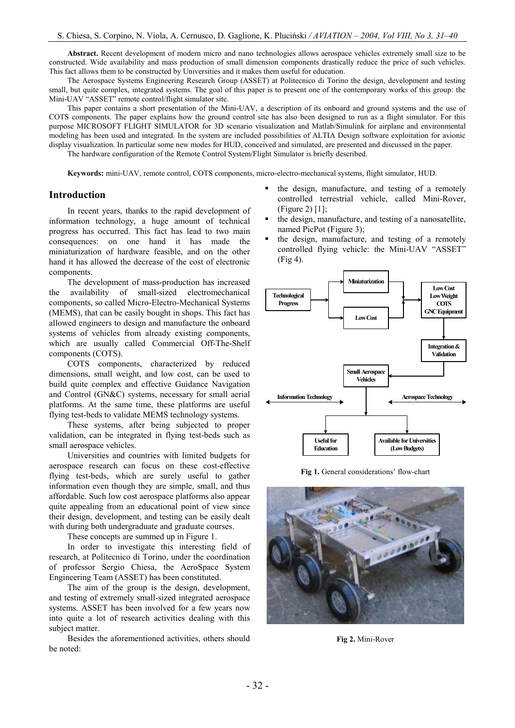**Abstract.** Recent development of modern micro and nano technologies allows aerospace vehicles extremely small size to be constructed. Wide availability and mass production of small dimension components drastically reduce the price of such vehicles. This fact allows them to be constructed by Universities and it makes them useful for education.

The Aerospace Systems Engineering Research Group (ASSET) at Politecnico di Torino the design, development and testing small, but quite complex, integrated systems. The goal of this paper is to present one of the contemporary works of this group: the Mini-UAV "ASSET" remote control/flight simulator site.

This paper contains a short presentation of the Mini-UAV, a description of its onboard and ground systems and the use of COTS components. The paper explains how the ground control site has also been designed to run as a flight simulator. For this purpose MICROSOFT FLIGHT SIMULATOR for 3D scenario visualization and Matlab/Simulink for airplane and environmental modeling has been used and integrated. In the system are included possibilities of ALTIA Design software exploitation for avionic display visualization. In particular some new modes for HUD, conceived and simulated, are presented and discussed in the paper.

The hardware configuration of the Remote Control System/Flight Simulator is briefly described.

**Keywords:** mini-UAV, remote control, COTS components, micro-electro-mechanical systems, flight simulator, HUD.

### **Introduction**

In recent years, thanks to the rapid development of information technology, a huge amount of technical progress has occurred. This fact has lead to two main consequences: on one hand it has made the miniaturization of hardware feasible, and on the other hand it has allowed the decrease of the cost of electronic components.

The development of mass-production has increased the availability of small-sized electromechanical components, so called Micro-Electro-Mechanical Systems (MEMS), that can be easily bought in shops. This fact has allowed engineers to design and manufacture the onboard systems of vehicles from already existing components, which are usually called Commercial Off-The-Shelf components (COTS).

COTS components, characterized by reduced dimensions, small weight, and low cost, can be used to build quite complex and effective Guidance Navigation and Control (GN&C) systems, necessary for small aerial platforms. At the same time, these platforms are useful flying test-beds to validate MEMS technology systems.

These systems, after being subjected to proper validation, can be integrated in flying test-beds such as small aerospace vehicles.

Universities and countries with limited budgets for aerospace research can focus on these cost-effective flying test-beds, which are surely useful to gather information even though they are simple, small, and thus affordable. Such low cost aerospace platforms also appear quite appealing from an educational point of view since their design, development, and testing can be easily dealt with during both undergraduate and graduate courses.

These concepts are summed up in Figure 1.

In order to investigate this interesting field of research, at Politecnico di Torino, under the coordination of professor Sergio Chiesa, the AeroSpace System Engineering Team (ASSET) has been constituted.

The aim of the group is the design, development, and testing of extremely small-sized integrated aerospace systems. ASSET has been involved for a few years now into quite a lot of research activities dealing with this subject matter.

Besides the aforementioned activities, others should be noted:

- ß the design, manufacture, and testing of a remotely controlled terrestrial vehicle, called Mini-Rover, (Figure 2) [1];
- ß the design, manufacture, and testing of a nanosatellite, named PicPot (Figure 3);
- ß the design, manufacture, and testing of a remotely controlled flying vehicle: the Mini-UAV "ASSET" (Fig 4).



**Fig 1.** General considerations' flow-chart



**Fig 2.** Mini-Rover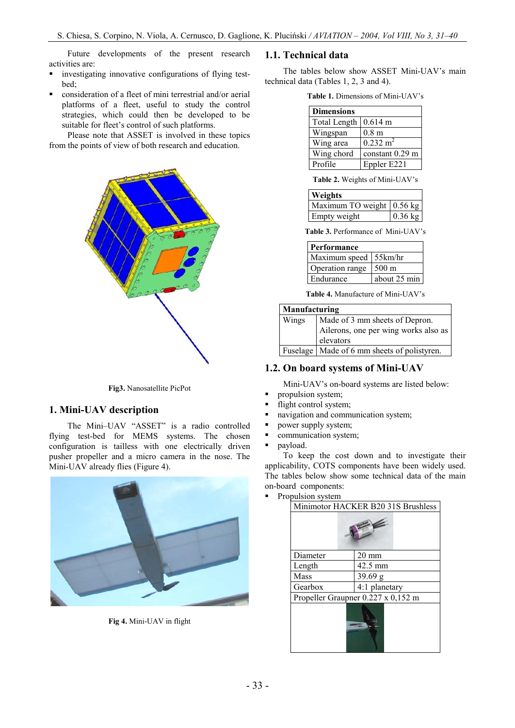Future developments of the present research activities are:

- **u.** investigating innovative configurations of flying testbed;
- ß consideration of a fleet of mini terrestrial and/or aerial platforms of a fleet, useful to study the control strategies, which could then be developed to be suitable for fleet's control of such platforms.

Please note that ASSET is involved in these topics from the points of view of both research and education.



**Fig3.** Nanosatellite PicPot

### **1. Mini-UAV description**

The Mini–UAV "ASSET" is a radio controlled flying test-bed for MEMS systems. The chosen configuration is tailless with one electrically driven pusher propeller and a micro camera in the nose. The Mini-UAV already flies (Figure 4).



**Fig 4.** Mini-UAV in flight

## **1.1. Technical data**

The tables below show ASSET Mini-UAV's main technical data (Tables 1, 2, 3 and 4).

**Table 1.** Dimensions of Mini-UAV's

| <b>Dimensions</b>   |                     |
|---------------------|---------------------|
| <b>Total Length</b> | $0.614 \text{ m}$   |
| Wingspan            | 0.8 <sub>m</sub>    |
| Wing area           | $0.232 \text{ m}^2$ |
| Wing chord          | constant $0.29$ m   |
| Profile             | Eppler E221         |
|                     |                     |

**Table 2.** Weights of Mini-UAV's

| Weights                   |           |
|---------------------------|-----------|
| Maximum TO weight 0.56 kg |           |
| Empty weight              | $0.36$ kg |

**Table 3.** Performance of Mini-UAV's

| <b>Performance</b>    |                 |
|-----------------------|-----------------|
| Maximum speed 55km/hr |                 |
| Operation range       | $500 \text{ m}$ |
| Endurance             | about 25 min    |

**Table 4.** Manufacture of Mini-UAV's

| Manufacturing                           |                                               |
|-----------------------------------------|-----------------------------------------------|
| Made of 3 mm sheets of Depron.<br>Wings |                                               |
|                                         | Ailerons, one per wing works also as          |
|                                         | elevators                                     |
|                                         | Fuselage   Made of 6 mm sheets of polistyren. |

### **1.2. On board systems of Mini-UAV**

Mini-UAV's on-board systems are listed below:

- propulsion system;
- flight control system;
- ß navigation and communication system;
- **•** power supply system;
- communication system;
- payload.

To keep the cost down and to investigate their applicability, COTS components have been widely used. The tables below show some technical data of the main on-board components:

• Propulsion system

| Minimotor HACKER B20 31S Brushless |                 |  |
|------------------------------------|-----------------|--|
|                                    |                 |  |
| Diameter                           | $20 \text{ mm}$ |  |
| Length                             | 42.5 mm         |  |
| Mass                               | 39.69 g         |  |
| Gearbox                            | 4:1 planetary   |  |
| Propeller Graupner 0.227 x 0,152 m |                 |  |
|                                    |                 |  |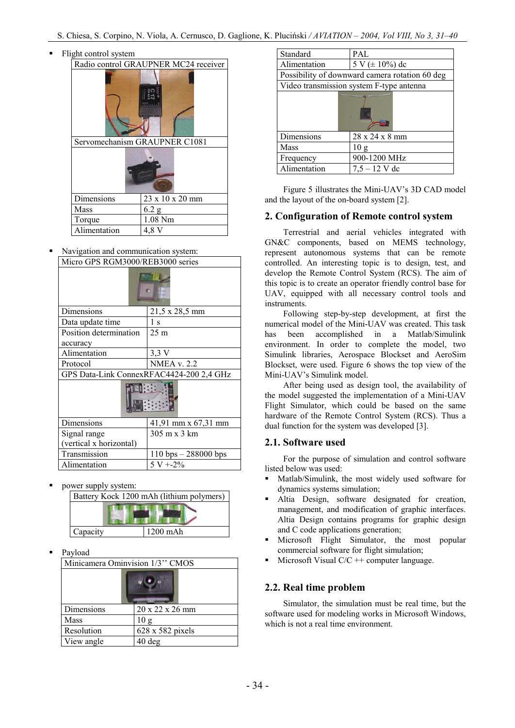|                               | Flight control system                |         |
|-------------------------------|--------------------------------------|---------|
|                               | Radio control GRAUPNER MC24 receiver |         |
|                               | Servomechanism GRAUPNER C1081        |         |
|                               |                                      |         |
|                               |                                      |         |
| 23 x 10 x 20 mm<br>Dimensions |                                      |         |
|                               | Mass                                 | 6.2 g   |
|                               | Torque                               | 1.08 Nm |
|                               | Alimentation                         | 4.8 V   |

ß Navigation and communication system: Micro GPS RGM3000/REB3000 series

| Dimensions                               | 21,5 x 28,5 mm                         |  |
|------------------------------------------|----------------------------------------|--|
| Data update time                         | 1 s                                    |  |
| Position determination                   | 25 <sub>m</sub>                        |  |
| accuracy                                 |                                        |  |
| Alimentation                             | 3.3V                                   |  |
| Protocol                                 | <b>NMEA v. 2.2</b>                     |  |
| GPS Data-Link ConnexRFAC4424-200 2,4 GHz |                                        |  |
|                                          |                                        |  |
| Dimensions                               | 41,91 mm x 67,31 mm                    |  |
| Signal range                             | 305 m x 3 km                           |  |
| (vertical x horizontal)                  |                                        |  |
| Transmission                             | $110 \text{ bps} - 288000 \text{ bps}$ |  |
| Alimentation                             | $5 V + 2\%$                            |  |

ß power supply system:

| Battery Kock 1200 mAh (lithium polymers) |          |
|------------------------------------------|----------|
|                                          |          |
|                                          |          |
| Capacity                                 | 1200 mAh |

Payload

| Minicamera Ominvision 1/3" CMOS |                  |
|---------------------------------|------------------|
|                                 |                  |
| Dimensions                      | 20 x 22 x 26 mm  |
| Mass                            | 10g              |
| Resolution                      | 628 x 582 pixels |
| View angle                      | $40$ deg         |

| Standard                                       | PAL                 |  |
|------------------------------------------------|---------------------|--|
| Alimentation                                   | 5 V ( $\pm$ 10%) dc |  |
| Possibility of downward camera rotation 60 deg |                     |  |
| Video transmission system F-type antenna       |                     |  |
|                                                |                     |  |
| Dimensions                                     | 28 x 24 x 8 mm      |  |
| Mass                                           | 10g                 |  |
| Frequency                                      | 900-1200 MHz        |  |
| Alimentation                                   | $7,5 - 12$ V dc     |  |

Figure 5 illustrates the Mini-UAV's 3D CAD model and the layout of the on-board system [2].

# **2. Configuration of Remote control system**

Terrestrial and aerial vehicles integrated with GN&C components, based on MEMS technology, represent autonomous systems that can be remote controlled. An interesting topic is to design, test, and develop the Remote Control System (RCS). The aim of this topic is to create an operator friendly control base for UAV, equipped with all necessary control tools and instruments.

Following step-by-step development, at first the numerical model of the Mini-UAV was created. This task has been accomplished in a Matlab/Simulink environment. In order to complete the model, two Simulink libraries, Aerospace Blockset and AeroSim Blockset, were used. Figure 6 shows the top view of the Mini-UAV's Simulink model.

After being used as design tool, the availability of the model suggested the implementation of a Mini-UAV Flight Simulator, which could be based on the same hardware of the Remote Control System (RCS). Thus a dual function for the system was developed [3].

# **2.1. Software used**

For the purpose of simulation and control software listed below was used:

- ß Matlab/Simulink, the most widely used software for dynamics systems simulation;
- ß Altia Design, software designated for creation, management, and modification of graphic interfaces. Altia Design contains programs for graphic design and C code applications generation;
- ß Microsoft Flight Simulator, the most popular commercial software for flight simulation;
- Microsoft Visual  $C/C$  ++ computer language.

# **2.2. Real time problem**

Simulator, the simulation must be real time, but the software used for modeling works in Microsoft Windows, which is not a real time environment.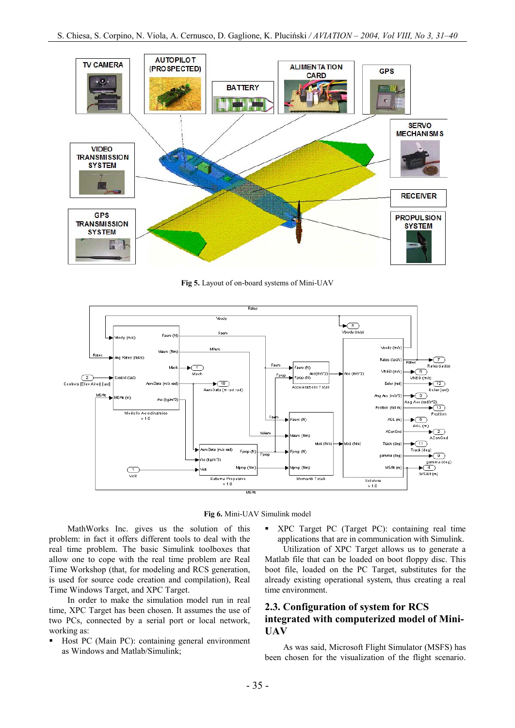

**Fig 5.** Layout of on-board systems of Mini-UAV





MathWorks Inc. gives us the solution of this problem: in fact it offers different tools to deal with the real time problem. The basic Simulink toolboxes that allow one to cope with the real time problem are Real Time Workshop (that, for modeling and RCS generation, is used for source code creation and compilation), Real Time Windows Target, and XPC Target.

In order to make the simulation model run in real time, XPC Target has been chosen. It assumes the use of two PCs, connected by a serial port or local network, working as:

ß Host PC (Main PC): containing general environment as Windows and Matlab/Simulink;

ß XPC Target PC (Target PC): containing real time applications that are in communication with Simulink.

Utilization of XPC Target allows us to generate a Matlab file that can be loaded on boot floppy disc. This boot file, loaded on the PC Target, substitutes for the already existing operational system, thus creating a real time environment.

# **2.3. Configuration of system for RCS integrated with computerized model of Mini-UAV**

As was said, Microsoft Flight Simulator (MSFS) has been chosen for the visualization of the flight scenario.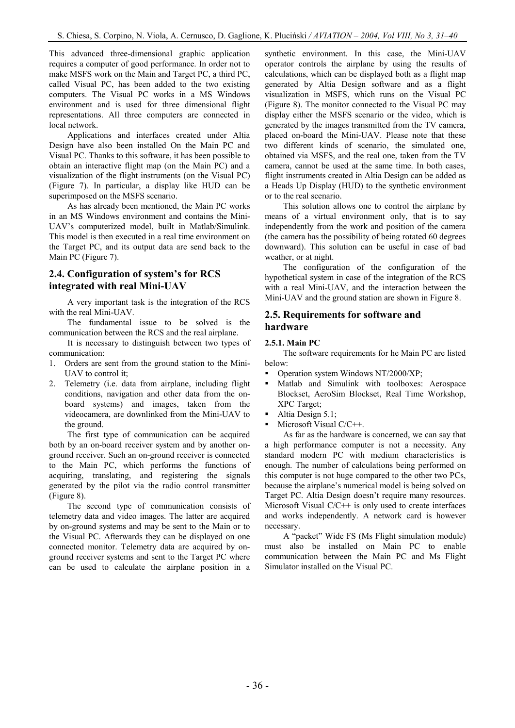This advanced three-dimensional graphic application requires a computer of good performance. In order not to make MSFS work on the Main and Target PC, a third PC, called Visual PC, has been added to the two existing computers. The Visual PC works in a MS Windows environment and is used for three dimensional flight representations. All three computers are connected in local network.

Applications and interfaces created under Altia Design have also been installed On the Main PC and Visual PC. Thanks to this software, it has been possible to obtain an interactive flight map (on the Main PC) and a visualization of the flight instruments (on the Visual PC) (Figure 7). In particular, a display like HUD can be superimposed on the MSFS scenario.

As has already been mentioned, the Main PC works in an MS Windows environment and contains the Mini-UAV's computerized model, built in Matlab/Simulink. This model is then executed in a real time environment on the Target PC, and its output data are send back to the Main PC (Figure 7).

# **2.4. Configuration of system's for RCS integrated with real Mini-UAV**

A very important task is the integration of the RCS with the real Mini-UAV.

The fundamental issue to be solved is the communication between the RCS and the real airplane.

It is necessary to distinguish between two types of communication:

- 1. Orders are sent from the ground station to the Mini-UAV to control it;
- 2. Telemetry (i.e. data from airplane, including flight conditions, navigation and other data from the onboard systems) and images, taken from the videocamera, are downlinked from the Mini-UAV to the ground.

The first type of communication can be acquired both by an on-board receiver system and by another onground receiver. Such an on-ground receiver is connected to the Main PC, which performs the functions of acquiring, translating, and registering the signals generated by the pilot via the radio control transmitter (Figure 8).

The second type of communication consists of telemetry data and video images. The latter are acquired by on-ground systems and may be sent to the Main or to the Visual PC. Afterwards they can be displayed on one connected monitor. Telemetry data are acquired by onground receiver systems and sent to the Target PC where can be used to calculate the airplane position in a

synthetic environment. In this case, the Mini-UAV operator controls the airplane by using the results of calculations, which can be displayed both as a flight map generated by Altia Design software and as a flight visualization in MSFS, which runs on the Visual PC (Figure 8). The monitor connected to the Visual PC may display either the MSFS scenario or the video, which is generated by the images transmitted from the TV camera, placed on-board the Mini-UAV. Please note that these two different kinds of scenario, the simulated one, obtained via MSFS, and the real one, taken from the TV camera, cannot be used at the same time. In both cases, flight instruments created in Altia Design can be added as a Heads Up Display (HUD) to the synthetic environment or to the real scenario.

This solution allows one to control the airplane by means of a virtual environment only, that is to say independently from the work and position of the camera (the camera has the possibility of being rotated 60 degrees downward). This solution can be useful in case of bad weather, or at night.

The configuration of the configuration of the hypothetical system in case of the integration of the RCS with a real Mini-UAV, and the interaction between the Mini-UAV and the ground station are shown in Figure 8.

# **2.5. Requirements for software and hardware**

### **2.5.1. Main PC**

The software requirements for he Main PC are listed below:

- Operation system Windows NT/2000/XP;
- ß Matlab and Simulink with toolboxes: Aerospace Blockset, AeroSim Blockset, Real Time Workshop, XPC Target;
- $\blacksquare$  Altia Design 5.1;
- Microsoft Visual C/C++.

As far as the hardware is concerned, we can say that a high performance computer is not a necessity. Any standard modern PC with medium characteristics is enough. The number of calculations being performed on this computer is not huge compared to the other two PCs, because the airplane's numerical model is being solved on Target PC. Altia Design doesn't require many resources. Microsoft Visual C/C++ is only used to create interfaces and works independently. A network card is however necessary.

A "packet" Wide FS (Ms Flight simulation module) must also be installed on Main PC to enable communication between the Main PC and Ms Flight Simulator installed on the Visual PC.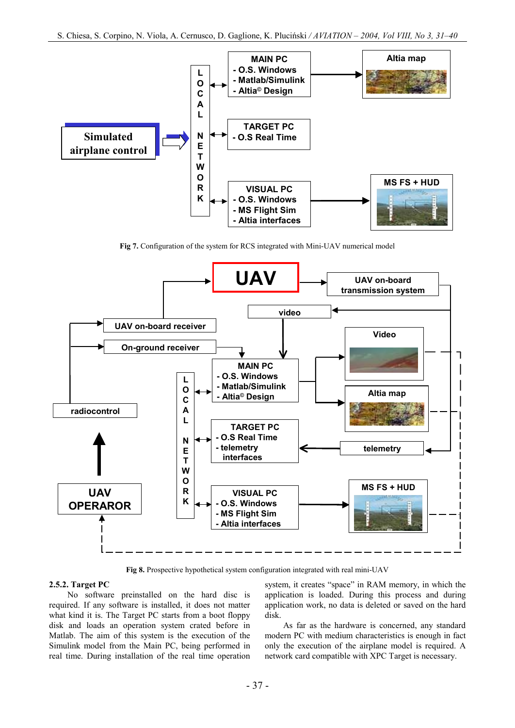

**Fig 7.** Configuration of the system for RCS integrated with Mini-UAV numerical model



**Fig 8.** Prospective hypothetical system configuration integrated with real mini-UAV

### **2.5.2. Target PC**

No software preinstalled on the hard disc is required. If any software is installed, it does not matter what kind it is. The Target PC starts from a boot floppy disk and loads an operation system crated before in Matlab. The aim of this system is the execution of the Simulink model from the Main PC, being performed in real time. During installation of the real time operation

system, it creates "space" in RAM memory, in which the application is loaded. During this process and during application work, no data is deleted or saved on the hard disk.

As far as the hardware is concerned, any standard modern PC with medium characteristics is enough in fact only the execution of the airplane model is required. A network card compatible with XPC Target is necessary.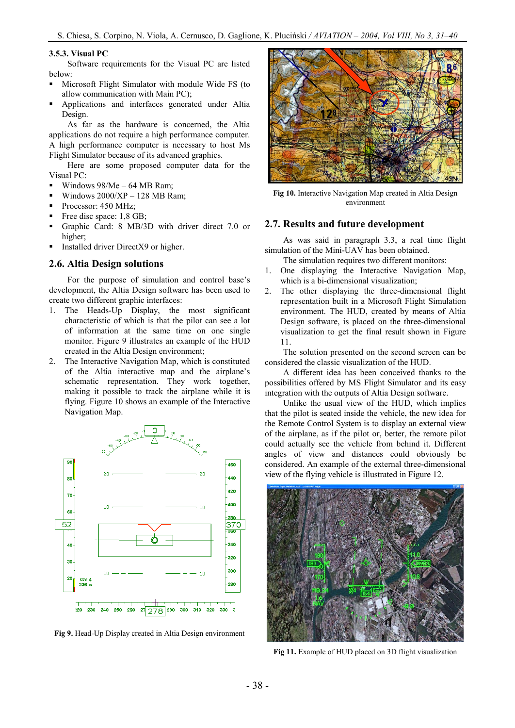### **3.5.3. Visual PC**

Software requirements for the Visual PC are listed below:

- **KRIGHTER Microsoft Flight Simulator with module Wide FS (to** allow communication with Main PC);
- ß Applications and interfaces generated under Altia Design.

As far as the hardware is concerned, the Altia applications do not require a high performance computer. A high performance computer is necessary to host Ms Flight Simulator because of its advanced graphics.

Here are some proposed computer data for the Visual PC:

- ß Windows 98/Me 64 MB Ram;
- Windows  $2000/XP 128 MB$  Ram;
- Processor: 450 MHz;
- Free disc space: 1,8 GB;
- ß Graphic Card: 8 MB/3D with driver direct 7.0 or higher;
- **Installed driver DirectX9 or higher.**

#### **2.6. Altia Design solutions**

For the purpose of simulation and control base's development, the Altia Design software has been used to create two different graphic interfaces:

- 1. The Heads-Up Display, the most significant characteristic of which is that the pilot can see a lot of information at the same time on one single monitor. Figure 9 illustrates an example of the HUD created in the Altia Design environment;
- 2. The Interactive Navigation Map, which is constituted of the Altia interactive map and the airplane's schematic representation. They work together, making it possible to track the airplane while it is flying. Figure 10 shows an example of the Interactive Navigation Map.



**Fig 9.** Head-Up Display created in Altia Design environment



**Fig 10.** Interactive Navigation Map created in Altia Design environment

#### **2.7. Results and future development**

As was said in paragraph 3.3, a real time flight simulation of the Mini-UAV has been obtained.

The simulation requires two different monitors:

- 1. One displaying the Interactive Navigation Map, which is a bi-dimensional visualization;
- 2. The other displaying the three-dimensional flight representation built in a Microsoft Flight Simulation environment. The HUD, created by means of Altia Design software, is placed on the three-dimensional visualization to get the final result shown in Figure 11.

The solution presented on the second screen can be considered the classic visualization of the HUD.

A different idea has been conceived thanks to the possibilities offered by MS Flight Simulator and its easy integration with the outputs of Altia Design software.

Unlike the usual view of the HUD, which implies that the pilot is seated inside the vehicle, the new idea for the Remote Control System is to display an external view of the airplane, as if the pilot or, better, the remote pilot could actually see the vehicle from behind it. Different angles of view and distances could obviously be considered. An example of the external three-dimensional view of the flying vehicle is illustrated in Figure 12.



**Fig 11.** Example of HUD placed on 3D flight visualization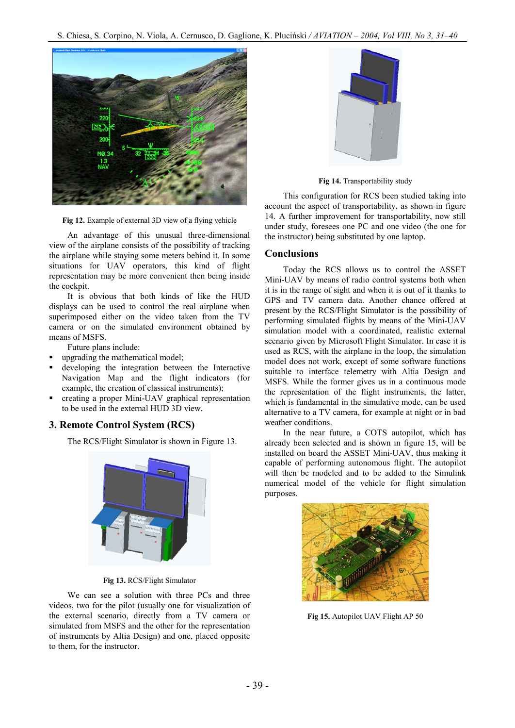

**Fig 12.** Example of external 3D view of a flying vehicle

An advantage of this unusual three-dimensional view of the airplane consists of the possibility of tracking the airplane while staying some meters behind it. In some situations for UAV operators, this kind of flight representation may be more convenient then being inside the cockpit.

It is obvious that both kinds of like the HUD displays can be used to control the real airplane when superimposed either on the video taken from the TV camera or on the simulated environment obtained by means of MSFS.

Future plans include:

- ß upgrading the mathematical model;
- ß developing the integration between the Interactive Navigation Map and the flight indicators (for example, the creation of classical instruments);
- ß creating a proper Mini-UAV graphical representation to be used in the external HUD 3D view.

## **3. Remote Control System (RCS)**

The RCS/Flight Simulator is shown in Figure 13.



**Fig 13.** RCS/Flight Simulator

We can see a solution with three PCs and three videos, two for the pilot (usually one for visualization of the external scenario, directly from a TV camera or simulated from MSFS and the other for the representation of instruments by Altia Design) and one, placed opposite to them, for the instructor.



**Fig 14.** Transportability study

This configuration for RCS been studied taking into account the aspect of transportability, as shown in figure 14. A further improvement for transportability, now still under study, foresees one PC and one video (the one for the instructor) being substituted by one laptop.

### **Conclusions**

Today the RCS allows us to control the ASSET Mini-UAV by means of radio control systems both when it is in the range of sight and when it is out of it thanks to GPS and TV camera data. Another chance offered at present by the RCS/Flight Simulator is the possibility of performing simulated flights by means of the Mini-UAV simulation model with a coordinated, realistic external scenario given by Microsoft Flight Simulator. In case it is used as RCS, with the airplane in the loop, the simulation model does not work, except of some software functions suitable to interface telemetry with Altia Design and MSFS. While the former gives us in a continuous mode the representation of the flight instruments, the latter, which is fundamental in the simulative mode, can be used alternative to a TV camera, for example at night or in bad weather conditions.

In the near future, a COTS autopilot, which has already been selected and is shown in figure 15, will be installed on board the ASSET Mini-UAV, thus making it capable of performing autonomous flight. The autopilot will then be modeled and to be added to the Simulink numerical model of the vehicle for flight simulation purposes.



**Fig 15.** Autopilot UAV Flight AP 50